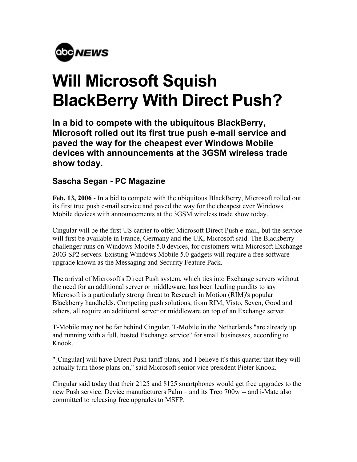

## **Will Microsoft Squish BlackBerry With Direct Push?**

**In a bid to compete with the ubiquitous BlackBerry, Microsoft rolled out its first true push e-mail service and paved the way for the cheapest ever Windows Mobile devices with announcements at the 3GSM wireless trade show today.** 

## **Sascha Segan - PC Magazine**

**Feb. 13, 2006** - In a bid to compete with the ubiquitous BlackBerry, Microsoft rolled out its first true push e-mail service and paved the way for the cheapest ever Windows Mobile devices with announcements at the 3GSM wireless trade show today.

Cingular will be the first US carrier to offer Microsoft Direct Push e-mail, but the service will first be available in France, Germany and the UK, Microsoft said. The Blackberry challenger runs on Windows Mobile 5.0 devices, for customers with Microsoft Exchange 2003 SP2 servers. Existing Windows Mobile 5.0 gadgets will require a free software upgrade known as the Messaging and Security Feature Pack.

The arrival of Microsoft's Direct Push system, which ties into Exchange servers without the need for an additional server or middleware, has been leading pundits to say Microsoft is a particularly strong threat to Research in Motion (RIM)'s popular Blackberry handhelds. Competing push solutions, from RIM, Visto, Seven, Good and others, all require an additional server or middleware on top of an Exchange server.

T-Mobile may not be far behind Cingular. T-Mobile in the Netherlands "are already up and running with a full, hosted Exchange service" for small businesses, according to Knook.

"[Cingular] will have Direct Push tariff plans, and I believe it's this quarter that they will actually turn those plans on," said Microsoft senior vice president Pieter Knook.

Cingular said today that their 2125 and 8125 smartphones would get free upgrades to the new Push service. Device manufacturers Palm – and its Treo 700w -- and i-Mate also committed to releasing free upgrades to MSFP.